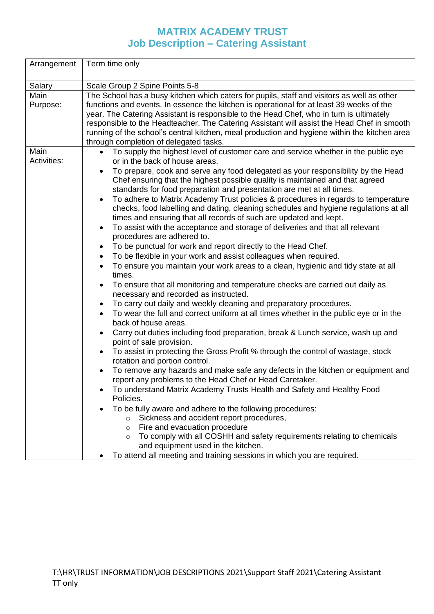## **MATRIX ACADEMY TRUST Job Description – Catering Assistant**

| Arrangement                | Term time only                                                                                                                                                                                                                                                                                                                                                                                                                                                                                                                                                                                                                                                                                                                                                                                                                                                                                                                                                                                                                                                                                                                                                                                                                                                                                                                                                                                                                                                                                                                                                                                                                                                                                                                                                                                                                                                                                                                                                                                                                                                                                                                                                                                                                                                                                       |  |  |  |
|----------------------------|------------------------------------------------------------------------------------------------------------------------------------------------------------------------------------------------------------------------------------------------------------------------------------------------------------------------------------------------------------------------------------------------------------------------------------------------------------------------------------------------------------------------------------------------------------------------------------------------------------------------------------------------------------------------------------------------------------------------------------------------------------------------------------------------------------------------------------------------------------------------------------------------------------------------------------------------------------------------------------------------------------------------------------------------------------------------------------------------------------------------------------------------------------------------------------------------------------------------------------------------------------------------------------------------------------------------------------------------------------------------------------------------------------------------------------------------------------------------------------------------------------------------------------------------------------------------------------------------------------------------------------------------------------------------------------------------------------------------------------------------------------------------------------------------------------------------------------------------------------------------------------------------------------------------------------------------------------------------------------------------------------------------------------------------------------------------------------------------------------------------------------------------------------------------------------------------------------------------------------------------------------------------------------------------------|--|--|--|
| Salary                     | Scale Group 2 Spine Points 5-8                                                                                                                                                                                                                                                                                                                                                                                                                                                                                                                                                                                                                                                                                                                                                                                                                                                                                                                                                                                                                                                                                                                                                                                                                                                                                                                                                                                                                                                                                                                                                                                                                                                                                                                                                                                                                                                                                                                                                                                                                                                                                                                                                                                                                                                                       |  |  |  |
| Main<br>Purpose:           | The School has a busy kitchen which caters for pupils, staff and visitors as well as other<br>functions and events. In essence the kitchen is operational for at least 39 weeks of the<br>year. The Catering Assistant is responsible to the Head Chef, who in turn is ultimately<br>responsible to the Headteacher. The Catering Assistant will assist the Head Chef in smooth<br>running of the school's central kitchen, meal production and hygiene within the kitchen area<br>through completion of delegated tasks.                                                                                                                                                                                                                                                                                                                                                                                                                                                                                                                                                                                                                                                                                                                                                                                                                                                                                                                                                                                                                                                                                                                                                                                                                                                                                                                                                                                                                                                                                                                                                                                                                                                                                                                                                                            |  |  |  |
| Main<br><b>Activities:</b> | To supply the highest level of customer care and service whether in the public eye<br>$\bullet$<br>or in the back of house areas.<br>To prepare, cook and serve any food delegated as your responsibility by the Head<br>$\bullet$<br>Chef ensuring that the highest possible quality is maintained and that agreed<br>standards for food preparation and presentation are met at all times.<br>To adhere to Matrix Academy Trust policies & procedures in regards to temperature<br>$\bullet$<br>checks, food labelling and dating, cleaning schedules and hygiene regulations at all<br>times and ensuring that all records of such are updated and kept.<br>To assist with the acceptance and storage of deliveries and that all relevant<br>$\bullet$<br>procedures are adhered to.<br>To be punctual for work and report directly to the Head Chef.<br>$\bullet$<br>To be flexible in your work and assist colleagues when required.<br>$\bullet$<br>To ensure you maintain your work areas to a clean, hygienic and tidy state at all<br>$\bullet$<br>times.<br>To ensure that all monitoring and temperature checks are carried out daily as<br>$\bullet$<br>necessary and recorded as instructed.<br>To carry out daily and weekly cleaning and preparatory procedures.<br>$\bullet$<br>To wear the full and correct uniform at all times whether in the public eye or in the<br>$\bullet$<br>back of house areas.<br>Carry out duties including food preparation, break & Lunch service, wash up and<br>$\bullet$<br>point of sale provision.<br>To assist in protecting the Gross Profit % through the control of wastage, stock<br>$\bullet$<br>rotation and portion control.<br>To remove any hazards and make safe any defects in the kitchen or equipment and<br>$\bullet$<br>report any problems to the Head Chef or Head Caretaker.<br>To understand Matrix Academy Trusts Health and Safety and Healthy Food<br>Policies.<br>To be fully aware and adhere to the following procedures:<br>Sickness and accident report procedures,<br>Fire and evacuation procedure<br>$\circ$<br>To comply with all COSHH and safety requirements relating to chemicals<br>$\circ$<br>and equipment used in the kitchen.<br>To attend all meeting and training sessions in which you are required. |  |  |  |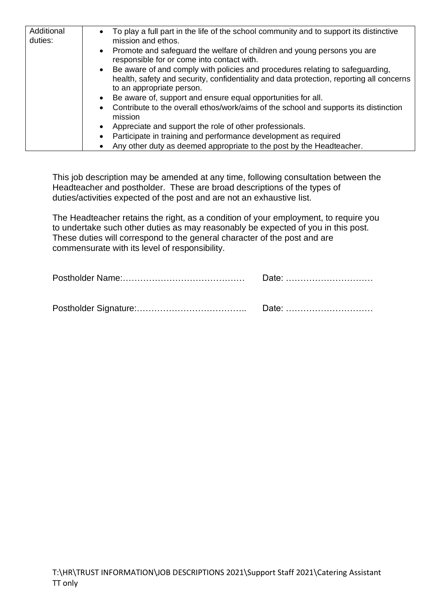| Additional<br>duties: | To play a full part in the life of the school community and to support its distinctive<br>$\bullet$<br>mission and ethos.                                                                                           |
|-----------------------|---------------------------------------------------------------------------------------------------------------------------------------------------------------------------------------------------------------------|
|                       | Promote and safeguard the welfare of children and young persons you are<br>$\bullet$<br>responsible for or come into contact with.                                                                                  |
|                       | Be aware of and comply with policies and procedures relating to safeguarding,<br>$\bullet$<br>health, safety and security, confidentiality and data protection, reporting all concerns<br>to an appropriate person. |
|                       | Be aware of, support and ensure equal opportunities for all.<br>$\bullet$                                                                                                                                           |
|                       | Contribute to the overall ethos/work/aims of the school and supports its distinction<br>$\bullet$<br>mission                                                                                                        |
|                       | Appreciate and support the role of other professionals.<br>$\bullet$                                                                                                                                                |
|                       | Participate in training and performance development as required<br>$\bullet$                                                                                                                                        |
|                       | Any other duty as deemed appropriate to the post by the Headteacher.                                                                                                                                                |

This job description may be amended at any time, following consultation between the Headteacher and postholder. These are broad descriptions of the types of duties/activities expected of the post and are not an exhaustive list.

The Headteacher retains the right, as a condition of your employment, to require you to undertake such other duties as may reasonably be expected of you in this post. These duties will correspond to the general character of the post and are commensurate with its level of responsibility.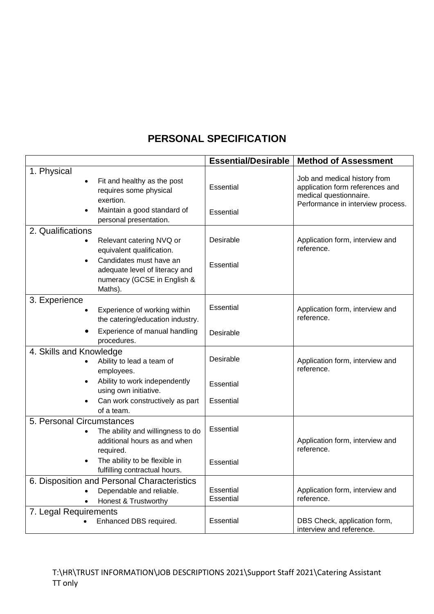## **PERSONAL SPECIFICATION**

|                           |                                                                                                     | <b>Essential/Desirable</b> | <b>Method of Assessment</b>                                                                                                    |
|---------------------------|-----------------------------------------------------------------------------------------------------|----------------------------|--------------------------------------------------------------------------------------------------------------------------------|
| 1. Physical               | Fit and healthy as the post<br>requires some physical<br>exertion.                                  | Essential                  | Job and medical history from<br>application form references and<br>medical questionnaire.<br>Performance in interview process. |
|                           | Maintain a good standard of<br>personal presentation.                                               | Essential                  |                                                                                                                                |
| 2. Qualifications         | Relevant catering NVQ or<br>equivalent qualification.                                               | Desirable                  | Application form, interview and<br>reference.                                                                                  |
|                           | Candidates must have an<br>adequate level of literacy and<br>numeracy (GCSE in English &<br>Maths). | Essential                  |                                                                                                                                |
| 3. Experience             | Experience of working within<br>the catering/education industry.                                    | Essential                  | Application form, interview and<br>reference.                                                                                  |
|                           | Experience of manual handling<br>procedures.                                                        | Desirable                  |                                                                                                                                |
| 4. Skills and Knowledge   | Ability to lead a team of<br>employees.                                                             | Desirable                  | Application form, interview and<br>reference.                                                                                  |
|                           | Ability to work independently<br>using own initiative.                                              | Essential                  |                                                                                                                                |
|                           | Can work constructively as part<br>of a team.                                                       | Essential                  |                                                                                                                                |
| 5. Personal Circumstances | The ability and willingness to do<br>additional hours as and when<br>required.                      | Essential                  | Application form, interview and<br>reference.                                                                                  |
| $\bullet$                 | The ability to be flexible in<br>fulfilling contractual hours.                                      | Essential                  |                                                                                                                                |
|                           | 6. Disposition and Personal Characteristics<br>Dependable and reliable.<br>Honest & Trustworthy     | Essential<br>Essential     | Application form, interview and<br>reference.                                                                                  |
| 7. Legal Requirements     | Enhanced DBS required.                                                                              | Essential                  | DBS Check, application form,<br>interview and reference.                                                                       |